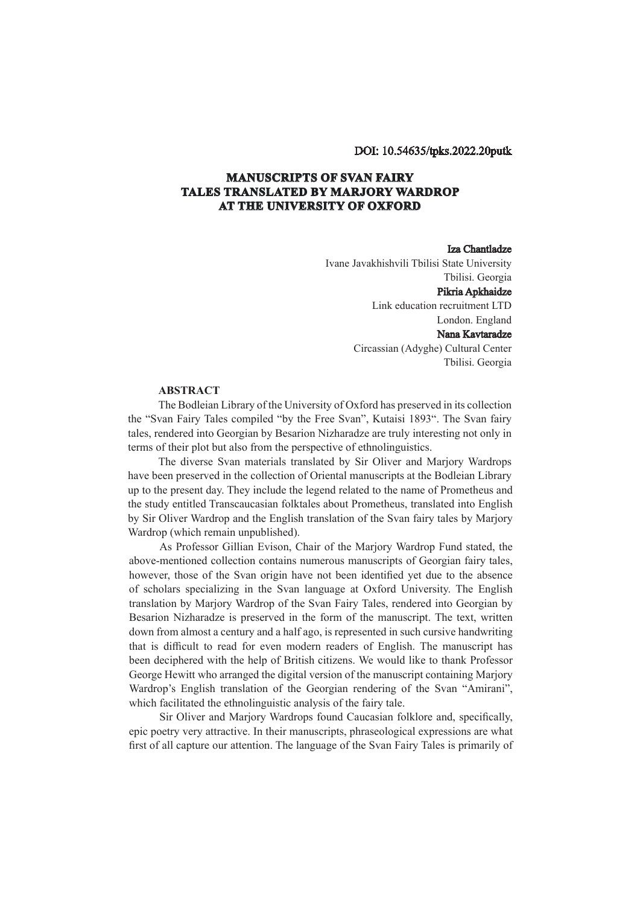## DOI: 10.54635/tpks.2022.20putk

## **MANUSCRIPTS OF SVAN FAIRY TALES TRANSLATED BY MARJORY WARDROP AT THE UNIVERSITY OF OXFORD**

## Iza Chantladze

Ivane Javakhishvili Tbilisi State University Tbilisi. Georgia Pikria Apkhaidze Link education recruitment LTD London. England Nana Kavtaradze Circassian (Adyghe) Cultural Center Tbilisi. Georgia

## **ABSTRACT**

The Bodleian Library of the University of Oxford has preserved in its collection the "Svan Fairy Tales compiled "by the Free Svan", Kutaisi 1893". The Svan fairy tales, rendered into Georgian by Besarion Nizharadze are truly interesting not only in terms of their plot but also from the perspective of ethnolinguistics.

The diverse Svan materials translated by Sir Oliver and Marjory Wardrops have been preserved in the collection of Oriental manuscripts at the Bodleian Library up to the present day. They include the legend related to the name of Prometheus and the study entitled Transcaucasian folktales about Prometheus, translated into English by Sir Oliver Wardrop and the English translation of the Svan fairy tales by Marjory Wardrop (which remain unpublished).

As Professor Gillian Evison, Chair of the Marjory Wardrop Fund stated, the above-mentioned collection contains numerous manuscripts of Georgian fairy tales, however, those of the Svan origin have not been identified yet due to the absence of scholars specializing in the Svan language at Oxford University. The English translation by Marjory Wardrop of the Svan Fairy Tales, rendered into Georgian by Besarion Nizharadze is preserved in the form of the manuscript. The text, written down from almost a century and a half ago, is represented in such cursive handwriting that is difficult to read for even modern readers of English. The manuscript has been deciphered with the help of British citizens. We would like to thank Professor George Hewitt who arranged the digital version of the manuscript containing Marjory Wardrop's English translation of the Georgian rendering of the Svan "Amirani", which facilitated the ethnolinguistic analysis of the fairy tale.

Sir Oliver and Marjory Wardrops found Caucasian folklore and, specifically, epic poetry very attractive. In their manuscripts, phraseological expressions are what first of all capture our attention. The language of the Svan Fairy Tales is primarily of